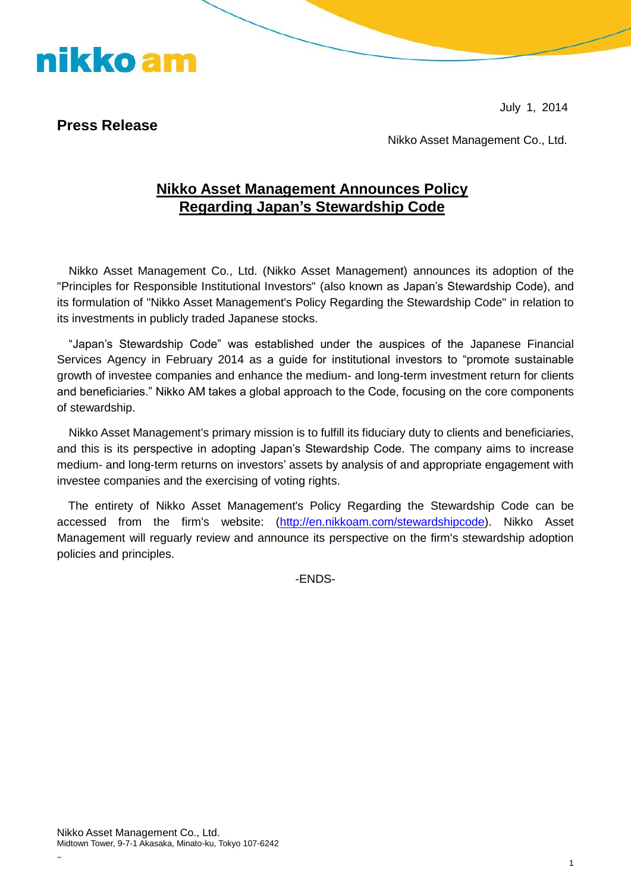July 1, 2014

## **Press Release**

nikko am

Nikko Asset Management Co., Ltd.

## **Nikko Asset Management Announces Policy Regarding Japan's Stewardship Code**

Nikko Asset Management Co., Ltd. (Nikko Asset Management) announces its adoption of the "Principles for Responsible Institutional Investors" (also known as Japan's Stewardship Code), and its formulation of "Nikko Asset Management's Policy Regarding the Stewardship Code" in relation to its investments in publicly traded Japanese stocks.

"Japan's Stewardship Code" was established under the auspices of the Japanese Financial Services Agency in February 2014 as a guide for institutional investors to "promote sustainable growth of investee companies and enhance the medium- and long-term investment return for clients and beneficiaries." Nikko AM takes a global approach to the Code, focusing on the core components of stewardship.

Nikko Asset Management's primary mission is to fulfill its fiduciary duty to clients and beneficiaries, and this is its perspective in adopting Japan's Stewardship Code. The company aims to increase medium- and long-term returns on investors' assets by analysis of and appropriate engagement with investee companies and the exercising of voting rights.

The entirety of Nikko Asset Management's Policy Regarding the Stewardship Code can be accessed from the firm's website: [\(http://en.nikkoam.com/stewardshipcode\)](http://en.nikkoam.com/stewardshipcode). Nikko Asset Management will reguarly review and announce its perspective on the firm's stewardship adoption policies and principles.

-ENDS-